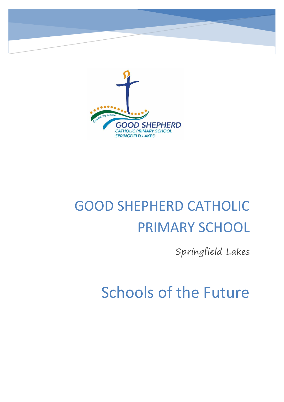

# GOOD SHEPHERD CATHOLIC PRIMARY SCHOOL

Springfield Lakes

Schools of the Future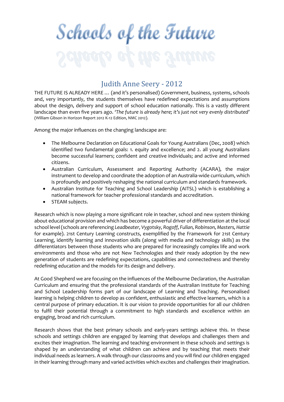# Schools of the Future

# Judith Anne Seery - 2012

THE FUTURE IS ALREADY HERE … (and it's personalised) Government, business, systems, schools and, very importantly, the students themselves have redefined expectations and assumptions about the design, delivery and support of school education nationally. This is a vastly different landscape than even five years ago. *'The future is already here; it's just not very evenly distributed'* (William Gibson in Horizon Report 2012 K-12 Edition, NMC 2012).

Among the major influences on the changing landscape are:

- The Melbourne Declaration on Educational Goals for Young Australians (Dec, 2008) which identified two fundamental goals: 1. equity and excellence; and 2. all young Australians become successful learners; confident and creative individuals; and active and informed citizens.
- Australian Curriculum, Assessment and Reporting Authority (ACARA), the major instrument to develop and coordinate the adoption of an Australia-wide curriculum, which is profoundly and positively reshaping the national curriculum and standards framework.
- Australian Institute for Teaching and School Leadership (AITSL) which is establishing a national framework for teacher professional standards and accreditation.
- STEAM subjects.

Research which is now playing a more significant role in teacher, school and new system thinking about educational provision and which has become a powerful driver of differentiation at the local school level (schools are referencing *Leadbeater, Vygotsky, Rogoff, Fullan, Robinson, Masters, Hattie* for example). 21st Century Learning constructs, exemplified by the Framework for 21st Century Learning, identify learning and innovation skills (along with media and technology skills) as the differentiators between those students who are prepared for increasingly complex life and work environments and those who are not New Technologies and their ready adoption by the new generation of students are redefining expectations, capabilities and connectedness and thereby redefining education and the models for its design and delivery.

At Good Shepherd we are focusing on the influences of the Melbourne Declaration, the Australian Curriculum and ensuring that the professional standards of the Australian Institute for Teaching and School Leadership forms part of our landscape of Learning and Teaching. Personalised learning is helping children to develop as confident, enthusiastic and effective learners, which is a central purpose of primary education. It is our vision to provide opportunities for all our children to fulfil their potential through a commitment to high standards and excellence within an engaging, broad and rich curriculum.

Research shows that the best primary schools and early-years settings achieve this. In these schools and settings children are engaged by learning that develops and challenges them and excites their imagination. The learning and teaching environment in these schools and settings is shaped by an understanding of what children can achieve and by teaching that meets their individual needs as learners. A walk through our classrooms and you will find our children engaged in their learning through many and varied activities which excites and challenges their imagination.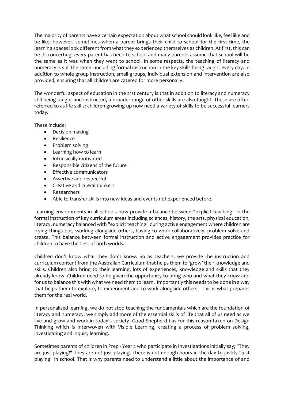The majority of parents have a certain expectation about what school should look like, feel like and be like; however, sometimes when a parent brings their child to school for the first time, the learning spaces look different from what they experienced themselves as children. At first, this can be disconcerting; every parent has been to school and many parents assume that school will be the same as it was when they went to school. In some respects, the teaching of literacy and numeracy is still the same - including formal instruction in the key skills being taught every day. In addition to whole group instruction, small groups, individual extension and intervention are also provided, ensuring that all children are catered for more personally.

The wonderful aspect of education in the 21st century is that in addition to literacy and numeracy still being taught and instructed, a broader range of other skills are also taught. These are often referred to as life skills: children growing up now need a variety of skills to be successful learners today.

These include:

- Decision making
- Resilience
- Problem solving
- Learning how to learn
- **•** Intrinsically motivated
- Responsible citizens of the future
- **•** Effective communicators
- Assertive and respectful
- Creative and lateral thinkers
- Researchers
- Able to transfer skills into new ideas and events not experienced before.

Learning environments in all schools now provide a balance between "explicit teaching" in the formal instruction of key curriculum areas including sciences, history, the arts, physical education, literacy, numeracy balanced with "explicit teaching" during active engagement where children are trying things out, working alongside others, having to work collaboratively, problem solve and create. This balance between formal instruction and active engagement provides practice for children to have the best of both worlds.

Children don't know what they don't know. So as teachers, we provide the instruction and curriculum content from the Australian Curriculum that helps them to 'grow' their knowledge and skills. Children also bring to their learning, lots of experiences, knowledge and skills that they already know. Children need to be given the opportunity to bring who and what they know and for us to balance this with what we need them to learn. Importantly this needs to be done in a way that helps them to explore, to experiment and to work alongside others. This is what prepares them for the real world.

In personalised learning, we do not stop teaching the fundamentals which are the foundation of literacy and numeracy, we simply add more of the essential skills of life that all of us need as we live and grow and work in today's society. Good Shepherd has for this reason taken on Design Thinking which is interwoven with Visible Learning, creating a process of problem solving, investigating and inquiry learning.

Sometimes parents of children in Prep - Year 2 who participate in Investigations initially say; "They are just playing!" They are not just playing. There is not enough hours in the day to justify "just playing" in school. That is why parents need to understand a little about the importance of and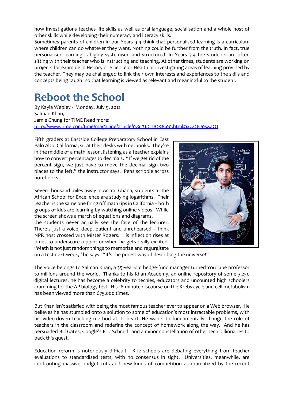how Investigations teaches life skills as well as oral language, socialisation and a whole host of other skills while developing their numeracy and literacy skills.

Sometimes parents of children in our Years 3-4 think that personalised learning is a curriculum where children can do whatever they want. Nothing could be further from the truth. In fact, true personalised learning is highly systemised and structured. In Years 3-4 the students are often sitting with their teacher who is instructing and teaching. At other times, students are working on projects for example in History or Science or Health or investigating areas of learning provided by the teacher. They may be challenged to link their own interests and experiences to the skills and concepts being taught so that learning is viewed as relevant and meaningful to the student.

# **Reboot the School**

By Kayla Webley - Monday, July 9, 2012 Salman Khan, Jamie Chung for TIME Read more: <http://www.time.com/time/magazine/article/0,9171,2118298,00.html#ixzz28J0sXZO1>

Fifth graders at Eastside College Preparatory School in East Palo Alto, California, sit at their desks with netbooks. They're in the middle of a math lesson, listening as a teacher explains how to convert percentages to decimals. "If we get rid of the percent sign, we just have to move the decimal sign two places to the left," the instructor says. Pens scribble across notebooks.

Seven thousand miles away in Accra, Ghana, students at the African School for Excellence are studying logarithms. Their teacher is the same one firing off math tips in California – both groups of kids are learning by watching online videos. While the screen shows a march of equations and diagrams,

the students never actually see the face of the lecturer. There's just a voice, deep, patient and unrehearsed – think NPR host crossed with Mister Rogers. His inflection rises at times to underscore a point or when he gets really excited. "Math is not just random things to memorize and regurgitate



on a test next week," he says. "It's the purest way of describing the universe!"

The voice belongs to Salman Khan, a 35-year-old hedge-fund manager turned YouTube professor to millions around the world. Thanks to his Khan Academy, an online repository of some 3,250 digital lectures, he has become a celebrity to techies, educators and uncounted high schoolers cramming for the AP biology test. His 18-minute discourse on the Krebs cycle and cell metabolism has been viewed more than 675,000 times.

But Khan isn't satisfied with being the most famous teacher ever to appear on a Web browser. He believes he has stumbled onto a solution to some of education's most intractable problems, with his video-driven teaching method at its heart. He wants to fundamentally change the role of teachers in the classroom and redefine the concept of homework along the way. And he has persuaded Bill Gates, Google's Eric Schmidt and a minor constellation of other tech billionaires to back this quest.

Education reform is notoriously difficult. K-12 schools are debating everything from teacher evaluations to standardised tests, with no consensus in sight. Universities, meanwhile, are confronting massive budget cuts and new kinds of competition as dramatized by the recent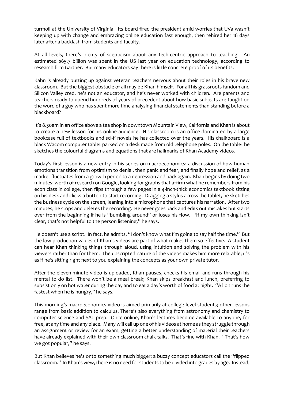turmoil at the University of Virginia. Its board fired the president amid worries that UVa wasn't keeping up with change and embracing online education fast enough, then rehired her 16 days later after a backlash from students and faculty.

At all levels, there's plenty of scepticism about any tech-centric approach to teaching. An estimated \$65.7 billion was spent in the US last year on education technology, according to research firm Gartner. But many educators say there is little concrete proof of its benefits.

Kahn is already butting up against veteran teachers nervous about their roles in his brave new classroom. But the biggest obstacle of all may be Khan himself. For all his grassroots fandom and Silicon Valley cred, he's not an educator, and he's never worked with children. Are parents and teachers ready to upend hundreds of years of precedent about how basic subjects are taught on the word of a guy who has spent more time analysing financial statements than standing before a blackboard?

It's 8.30am in an office above a tea shop in downtown Mountain View, California and Khan is about to create a new lesson for his online audience. His classroom is an office dominated by a large bookcase full of textbooks and sci-fi novels he has collected over the years. His chalkboard is a black Wacom computer tablet parked on a desk made from old telephone poles. On the tablet he sketches the colourful diagrams and equations that are hallmarks of Khan Academy videos.

Today's first lesson is a new entry in his series on macroeconomics: a discussion of how human emotions transition from optimism to denial, then panic and fear, and finally hope and relief, as a market fluctuates from a growth period to a depression and back again. Khan begins by doing two minutes' worth of research on Google, looking for graphs that affirm what he remembers from his econ class in college, then flips through a few pages in a 4-inch-thick economics textbook sitting on his desk and clicks a button to start recording. Dragging a stylus across the tablet, he sketches the business cycle on the screen, leaning into a microphone that captures his narration. After two minutes, he stops and deletes the recording. He never goes back and edits out mistakes but starts over from the beginning if he is "bumbling around" or loses his flow. "If my own thinking isn't clear, that's not helpful to the person listening," he says.

He doesn't use a script. In fact, he admits, "I don't know what I'm going to say half the time." But the low production values of Khan's videos are part of what makes them so effective. A student can hear Khan thinking things through aloud, using intuition and solving the problem with his viewers rather than for them. The unscripted nature of the videos makes him more relatable; it's as if he's sitting right next to you explaining the concepts as your own private tutor.

After the eleven-minute video is uploaded, Khan pauses, checks his email and runs through his mental to do list. There won't be a meal break; Khan skips breakfast and lunch, preferring to subsist only on hot water during the day and to eat a day's worth of food at night. "A lion runs the fastest when he is hungry," he says.

This morning's macroeconomics video is aimed primarily at college-level students; other lessons range from basic addition to calculus. There's also everything from astronomy and chemistry to computer science and SAT prep. Once online, Khan's lectures become available to anyone, for free, at any time and any place. Many will call up one of his videos at home as they struggle through an assignment or review for an exam, getting a better understanding of material their teachers have already explained with their own classroom chalk talks. That's fine with Khan. "That's how we got popular," he says.

But Khan believes he's onto something much bigger; a buzzy concept educators call the "flipped classroom." In Khan's view, there is no need for students to be divided into grades by age. Instead,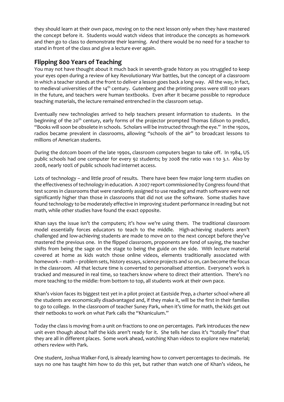they should learn at their own pace, moving on to the next lesson only when they have mastered the concept before it. Students would watch videos that introduce the concepts as homework and then go to class to demonstrate their learning. And there would be no need for a teacher to stand in front of the class and give a lecture ever again.

# **Flipping 800 Years of Teaching**

You may not have thought about it much back in seventh-grade history as you struggled to keep your eyes open during a review of key Revolutionary War battles, but the concept of a classroom in which a teacher stands at the front to deliver a lesson goes back a long way. All the way, in fact, to medieval universities of the 14<sup>th</sup> century. Gutenberg and the printing press were still 100 years in the future, and teachers were human textbooks. Even after it became possible to reproduce teaching materials, the lecture remained entrenched in the classroom setup.

Eventually new technologies arrived to help teachers present information to students. In the beginning of the 20<sup>th</sup> century, early forms of the projector prompted Thomas Edison to predict, "Books will soon be obsolete in schools. Scholars will be instructed through the eye." In the 1920s, radios became prevalent in classrooms, allowing "schools of the air" to broadcast lessons to millions of American students.

During the dotcom boom of the late 1990s, classroom computers began to take off. In 1984, US public schools had one computer for every 92 students; by 2008 the ratio was 1 to 3.1. Also by 2008, nearly 100% of public schools had internet access.

Lots of technology – and little proof of results. There have been few major long-term studies on the effectiveness of technology in education. A 2007 report commissioned by Congress found that test scores in classrooms that were randomly assigned to use reading and math software were not significantly higher than those in classrooms that did not use the software. Some studies have found technology to be moderately effective in improving student performance in reading but not math, while other studies have found the exact opposite.

Khan says the issue isn't the computers; it's how we're using them. The traditional classroom model essentially forces educators to teach to the middle. High-achieving students aren't challenged and low-achieving students are made to move on to the next concept before they've mastered the previous one. In the flipped classroom, proponents are fond of saying, the teacher shifts from being the sage on the stage to being the guide on the side. With lecture material covered at home as kids watch those online videos, elements traditionally associated with homework – math – problem sets, history essays, science projects and so on, can become the focus in the classroom. All that lecture time is converted to personalised attention. Everyone's work is tracked and measured in real time, so teachers know where to direct their attention. There's no more teaching to the middle: from bottom to top, all students work at their own pace.

Khan's vision faces its biggest test yet in a pilot project at Eastside Prep, a charter school where all the students are economically disadvantaged and, if they make it, will be the first in their families to go to college. In the classroom of teacher Suney Park, when it's time for math, the kids get out their netbooks to work on what Park calls the "Khaniculum."

Today the class is moving from a unit on fractions to one on percentages. Park introduces the new unit even though about half the kids aren't ready for it. She tells her class it's "totally fine" that they are all in different places. Some work ahead, watching Khan videos to explore new material; others review with Park.

One student, Joshua Walker-Ford, is already learning how to convert percentages to decimals. He says no one has taught him how to do this yet, but rather than watch one of Khan's videos, he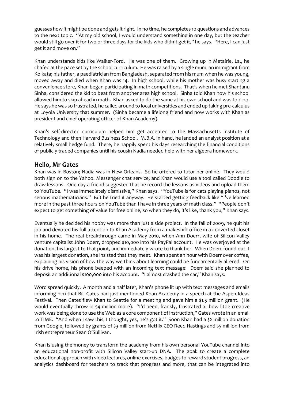guesses how it might be done and gets it right. In no time, he completes 10 questions and advances to the next topic. "At my old school, I would understand something in one day, but the teacher would still go over it for two or three days for the kids who didn't get it," he says. "Here, I can just get it and move on."

Khan understands kids like Walker-Ford. He was one of them. Growing up in Metairie, La., he chafed at the pace set by the school curriculum. He was raised by a single mum, an immigrant from Kolkata; his father, a paediatrician from Bangladesh, separated from his mum when he was young, moved away and died when Khan was 14. In high school, while his mother was busy starting a convenience store, Khan began participating in math competitions. That's when he met Shantanu Sinha, considered the kid to beat from another area high school. Sinha told Khan how his school allowed him to skip ahead in math. Khan asked to do the same at his own school and was told no. He says he was so frustrated, he called around to local universities and ended up taking pre-calculus at Loyola University that summer. (Sinha became a lifelong friend and now works with Khan as president and chief operating officer of Khan Academy).

Khan's self-directed curriculum helped him get accepted to the Massachusetts Institute of Technology and then Harvard Business School. M.B.A. in hand, he landed an analyst position at a relatively small hedge fund. There, he happily spent his days researching the financial conditions of publicly traded companies until his cousin Nadia needed help with her algebra homework.

## **Hello, Mr Gates**

Khan was in Boston; Nadia was in New Orleans. So he offered to tutor her online. They would both sign on to the Yahoo! Messenger chat service, and Khan would use a tool called Doodle to draw lessons. One day a friend suggested that he record the lessons as videos and upload them to YouTube. "I was immediately dismissive," Khan says. "YouTube is for cats playing pianos, not serious mathematicians." But he tried it anyway. He started getting feedback like "I've learned more in the past three hours on YouTube than I have in three years of math class." "People don't expect to get something of value for free online, so when they do, it's like, thank you," Khan says.

Eventually he decided his hobby was more than just a side project. In the fall of 2009, he quit his job and devoted his full attention to Khan Academy from a makeshift office in a converted closet in his home. The real breakthrough came in May 2010, when Ann Doerr, wife of Silicon Valley venture capitalist John Doerr, dropped \$10,000 into his PayPal account. He was overjoyed at the donation, his largest to that point, and immediately wrote to thank her. When Doerr found out it was his largest donation, she insisted that they meet. Khan spent an hour with Doerr over coffee, explaining his vision of how the way we think about learning could be fundamentally altered. On his drive home, his phone beeped with an incoming text message: Doerr said she planned to deposit an additional \$100,000 into his account. "I almost crashed the car," Khan says.

Word spread quickly. A month and a half later, Khan's phone lit up with text messages and emails informing him that Bill Gates had just mentioned Khan Academy in a speech at the Aspen Ideas Festival. Then Gates flew Khan to Seattle for a meeting and gave him a \$1.5 million grant. (He would eventually throw in \$4 million more). "I'd been, frankly, frustrated at how little creative work was being done to use the Web as a core component of instruction," Gates wrote in an email to TIME. "And when I saw this, I thought, yes, he's got it." Soon Khan had a \$2 million donation from Google, followed by grants of \$3 million from Netflix CEO Reed Hastings and \$5 million from Irish entrepreneur Sean O'Sullivan.

Khan is using the money to transform the academy from his own personal YouTube channel into an educational non-profit with Silicon Valley start-up DNA. The goal: to create a complete educational approach with video lectures, online exercises, badges to reward student progress, an analytics dashboard for teachers to track that progress and more, that can be integrated into